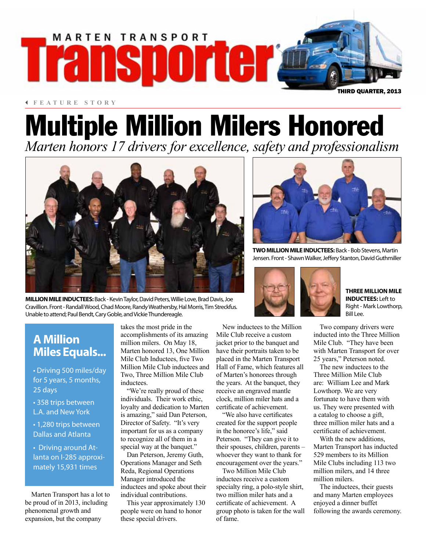

3 **FEATURE STORY**

# Multiple Million Milers Honored

*Marten honors 17 drivers for excellence, safety and professionalism*



**MILLION MILE INDUCTEES:** Back - Kevin Taylor, David Peters, Willie Love, Brad Davis, Joe Cravillion. Front - Randall Wood, Chad Moore, Randy Weathersby, Hal Morris, Tim Streckfus. Unable to attend; Paul Bendt, Cary Goble, and Vickie Thundereagle.



**TWO MILLION MILE INDUCTEES:** Back - Bob Stevens, Martin Jensen. Front - Shawn Walker, Jeffery Stanton, David Guthmiller



**THREE MILLION MILE INDUCTEES:** Left to Right - Mark Lowthorp, Bill Lee.

### Two company drivers were inducted into the Three Million Mile Club. "They have been with Marten Transport for over 25 years," Peterson noted.

The new inductees to the Three Million Mile Club are: William Lee and Mark Lowthorp. We are very fortunate to have them with us. They were presented with a catalog to choose a gift, three million miler hats and a certificate of achievement.

With the new additions, Marten Transport has inducted 529 members to its Million Mile Clubs including 113 two million milers, and 14 three million milers.

The inductees, their guests and many Marten employees enjoyed a dinner buffet following the awards ceremony.

### **A Million Miles Equals...**

• Driving 500 miles/day for 5 years, 5 months, 25 days

• 358 trips between L.A. and New York

• 1,280 trips between Dallas and Atlanta

• Driving around Atlanta on I-285 approximately 15,931 times

Marten Transport has a lot to be proud of in 2013, including phenomenal growth and expansion, but the company

takes the most pride in the accomplishments of its amazing million milers. On May 18, Marten honored 13, One Million Mile Club Inductees, five Two Million Mile Club inductees and Two, Three Million Mile Club inductees.

"We're really proud of these individuals. Their work ethic, loyalty and dedication to Marten is amazing," said Dan Peterson, Director of Safety. "It's very important for us as a company to recognize all of them in a special way at the banquet."

Dan Peterson, Jeremy Guth, Operations Manager and Seth Reda, Regional Operations Manager introduced the inductees and spoke about their individual contributions.

This year approximately 130 people were on hand to honor these special drivers.

New inductees to the Million Mile Club receive a custom jacket prior to the banquet and have their portraits taken to be placed in the Marten Transport Hall of Fame, which features all of Marten's honorees through the years. At the banquet, they receive an engraved mantle clock, million miler hats and a certificate of achievement.

"We also have certificates created for the support people in the honoree's life," said Peterson. "They can give it to their spouses, children, parents – whoever they want to thank for encouragement over the years."

Two Million Mile Club inductees receive a custom specialty ring, a polo-style shirt, two million miler hats and a certificate of achievement. A group photo is taken for the wall of fame.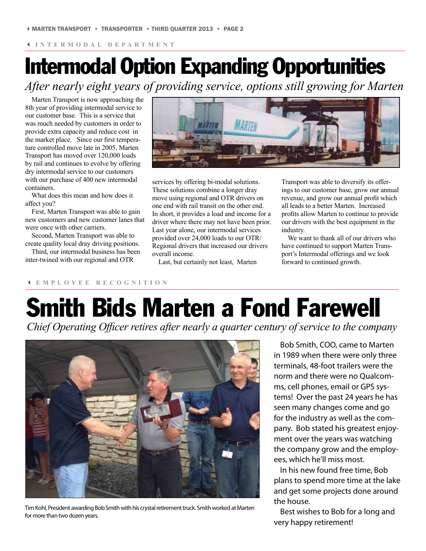# Intermodal Option Expanding Opportunities

*After nearly eight years of providing service, options still growing for Marten*

Marten Transport is now approaching the 8th year of providing intermodal service to our customer base. This is a service that was much needed by customers in order to provide extra capacity and reduce cost in the market place. Since our first temperature controlled move late in 2005, Marten Transport has moved over 120,000 loads by rail and continues to evolve by offering dry intermodal service to our customers with our purchase of 400 new intermodal containers.

What does this mean and how does it affect you?

First, Marten Transport was able to gain new customers and new customer lanes that were once with other carriers.

Second, Marten Transport was able to create quality local dray driving positions.

Third, our intermodal business has been inter-twined with our regional and OTR



services by offering bi-modal solutions. These solutions combine a longer dray move using regional and OTR drivers on one end with rail transit on the other end. In short, it provides a load and income for a driver where there may not have been prior. Last year alone, our intermodal services provided over 24,000 loads to our OTR/ Regional drivers that increased our drivers overall income.

Last, but certainly not least, Marten

Transport was able to diversify its offerings to our customer base, grow our annual revenue, and grow our annual profit which all leads to a better Marten. Increased profits allow Marten to continue to provide our drivers with the best equipment in the industry.

We want to thank all of our drivers who have continued to support Marten Transport's Intermodal offerings and we look forward to continued growth.

### 3 **EMPLOYEE RECOGNITION**

# Smith Bids Marten a Fond Farewell

*Chief Operating Officer retires after nearly a quarter century of service to the company* 



Tim Kohl, President awarding Bob Smith with his crystal retirement truck. Smith worked at Marten for more than two dozen years.

Bob Smith, COO, came to Marten in 1989 when there were only three terminals, 48-foot trailers were the norm and there were no Qualcomms, cell phones, email or GPS systems! Over the past 24 years he has seen many changes come and go for the industry as well as the company. Bob stated his greatest enjoyment over the years was watching the company grow and the employees, which he'll miss most.

In his new found free time, Bob plans to spend more time at the lake and get some projects done around the house.

Best wishes to Bob for a long and very happy retirement!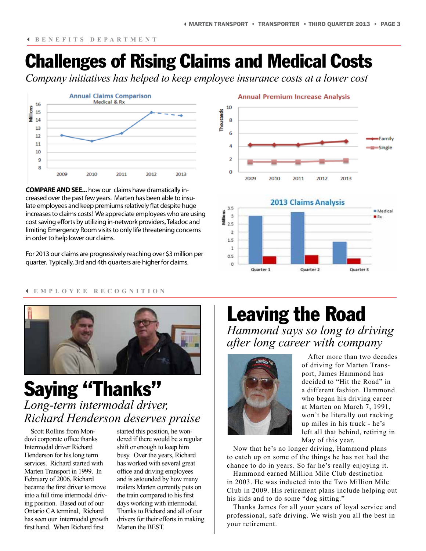## Challenges of Rising Claims and Medical Costs

*Company initiatives has helped to keep employee insurance costs at a lower cost*



**COMPARE AND SEE...** how our claims have dramatically increased over the past few years. Marten has been able to insulate employees and keep premiums relatively flat despite huge increases to claims costs! We appreciate employees who are using cost saving efforts by utilizing in-network providers, Teladoc and limiting Emergency Room visits to only life threatening concerns in order to help lower our claims.

For 2013 our claims are progressively reaching over \$3 million per quarter. Typically, 3rd and 4th quarters are higher for claims.

### **Annual Premium Increase Analysis**





#### 3 **EMPLOYEE RECOGNITION**



### Saying "Thanks" *Long-term intermodal driver, Richard Henderson deserves praise*

Scott Rollins from Mondovi corporate office thanks Intermodal driver Richard Henderson for his long term services. Richard started with Marten Transport in 1999. In February of 2006, Richard became the first driver to move into a full time intermodal driving position. Based out of our Ontario CA terminal, Richard has seen our intermodal growth first hand. When Richard first

started this position, he wondered if there would be a regular shift or enough to keep him busy. Over the years, Richard has worked with several great office and driving employees and is astounded by how many trailers Marten currently puts on the train compared to his first days working with intermodal. Thanks to Richard and all of our drivers for their efforts in making Marten the BEST.

### Leaving the Road *Hammond says so long to driving after long career with company*



After more than two decades of driving for Marten Transport, James Hammond has decided to "Hit the Road" in a different fashion. Hammond who began his driving career at Marten on March 7, 1991, won't be literally out racking up miles in his truck - he's left all that behind, retiring in May of this year.

Now that he's no longer driving, Hammond plans to catch up on some of the things he has not had the chance to do in years. So far he's really enjoying it.

Hammond earned Million Mile Club destinction in 2003. He was inducted into the Two Million Mile Club in 2009. His retirement plans include helping out his kids and to do some "dog sitting."

Thanks James for all your years of loyal service and professional, safe driving. We wish you all the best in your retirement.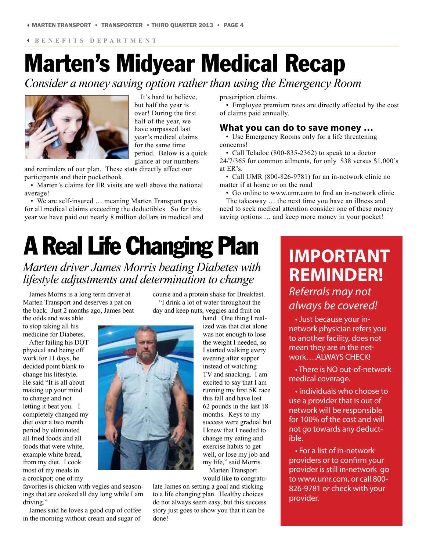3 **BENEFITS DEPARTMENT**

# Marten's Midyear Medical Recap

*Consider a money saving option rather than using the Emergency Room*



It's hard to believe, but half the year is over! During the first half of the year, we have surpassed last year's medical claims for the same time period. Below is a quick glance at our numbers

and reminders of our plan. These stats directly affect our participants and their pocketbook.

• Marten's claims for ER visits are well above the national average!

• We are self-insured … meaning Marten Transport pays for all medical claims exceeding the deductibles. So far this year we have paid out nearly 8 million dollars in medical and

# A Real Life Changing Plan

*Marten driver James Morris beating Diabetes with lifestyle adjustments and determination to change*

James Morris is a long term driver at Marten Transport and deserves a pat on the back. Just 2 months ago, James beat

the odds and was able to stop taking all his medicine for Diabetes.

After failing his DOT physical and being off work for 11 days, he decided point blank to change his lifestyle. He said "It is all about making up your mind to change and not letting it beat you. I completely changed my diet over a two month period by eliminated all fried foods and all foods that were white, example white bread, from my diet. I cook most of my meals in a crockpot; one of my

favorites is chicken with vegies and seasonings that are cooked all day long while I am driving."

James said he loves a good cup of coffee in the morning without cream and sugar of course and a protein shake for Breakfast. "I drink a lot of water throughout the day and keep nuts, veggies and fruit on

> hand. One thing I realized was that diet alone was not enough to lose the weight I needed, so I started walking every evening after supper instead of watching TV and snacking. I am excited to say that I am running my first 5K race this fall and have lost 62 pounds in the last 18 months. Keys to my success were gradual but I knew that I needed to change my eating and exercise habits to get well, or lose my job and my life," said Morris. Marten Transport

would like to congratu-

late James on setting a goal and sticking to a life changing plan. Healthy choices do not always seem easy, but this success story just goes to show you that it can be done!

prescription claims.

• Employee premium rates are directly affected by the cost of claims paid annually.

### **What you can do to save money …**

• Use Emergency Rooms only for a life threatening concerns!

• Call Teladoc (800-835-2362) to speak to a doctor 24/7/365 for common ailments, for only \$38 versus \$1,000's at ER's.

• Call UMR (800-826-9781) for an in-network clinic no matter if at home or on the road

• Go online to www.umr.com to find an in-network clinic

The takeaway … the next time you have an illness and need to seek medical attention consider one of these money saving options … and keep more money in your pocket!

## **IMPORTANT REMINDER!** *Referrals may not always be covered!*

• Just because your innetwork physician refers you to another facility, does not mean they are in the network….ALWAYS CHECK!

• There is NO out-of-network medical coverage.

• Individuals who choose to use a provider that is out of network will be responsible for 100% of the cost and will not go towards any deductible.

• For a list of in-network providers or to confirm your provider is still in-network go to www.umr.com, or call 800- 826-9781 or check with your provider.

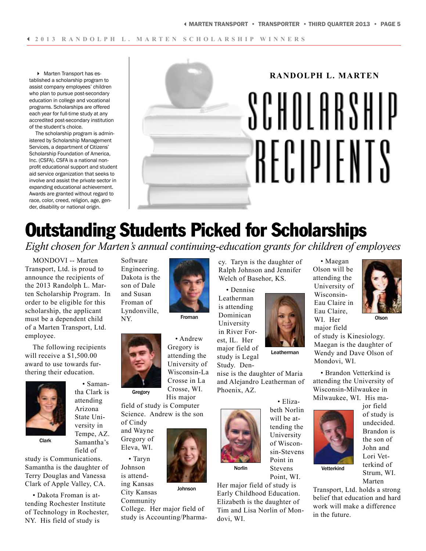4 Marten Transport has established a scholarship program to assist company employees' children who plan to pursue post-secondary education in college and vocational programs. Scholarships are offered each year for full-time study at any accredited post-secondary institution of the student's choice.

The scholarship program is administered by Scholarship Management Services, a department of Citizens' Scholarship Foundation of America, Inc. (CSFA). CSFA is a national nonprofit educational support and student aid service organization that seeks to involve and assist the private sector in expanding educational achievement. Awards are granted without regard to race, color, creed, religion, age, gender, disability or national origin.



# Outstanding Students Picked for Scholarships

*Eight chosen for Marten's annual continuing-education grants for children of employees*

MONDOVI -- Marten Transport, Ltd. is proud to announce the recipients of the 2013 Randolph L. Marten Scholarship Program. In order to be eligible for this scholarship, the applicant must be a dependent child of a Marten Transport, Ltd. employee.

The following recipients will receive a \$1,500.00 award to use towards furthering their education.

> • Samantha Clark is attending Arizona State University in Tempe, AZ. Samantha's



Clark

field of study is Communications. Samantha is the daughter of Terry Douglas and Vanessa Clark of Apple Valley, CA.

• Dakota Froman is attending Rochester Institute of Technology in Rochester, NY. His field of study is

Software Engineering. Dakota is the son of Dale and Susan Froman of Lyndonville, NY.



Gregory

Gregory is attending the University of Wisconsin-La Crosse in La Crosse, WI. His major

Johnson

• Andrew

Froman

field of study is Computer Science. Andrew is the son

of Cindy and Wayne Gregory of Eleva, WI.

• Taryn Johnson is attending Kansas City Kansas

Community College. Her major field of study is Accounting/Pharmacy. Taryn is the daughter of Ralph Johnson and Jennifer Welch of Basehor, KS.

• Dennise Leatherman is attending Dominican University in River Forest, IL. Her major field of study is Legal

Study. Dennise is the daughter of Maria and Alejandro Leatherman of



beth Norlin will be attending the University of Wisconsin-Stevens Point in Stevens Point, WI.

• Eliza-

Her major field of study is Early Childhood Education. Elizabeth is the daughter of Tim and Lisa Norlin of Mondovi, WI.

Olson will be

Leatherman

attending the University of Wisconsin-Eau Claire in Eau Claire, WI. Her major field

• Maegan

**Olson** 

of study is Kinesiology. Maegan is the daughter of Wendy and Dave Olson of Mondovi, WI.

• Brandon Vetterkind is attending the University of Wisconsin-Milwaukee in Milwaukee, WI. His ma-



jor field of study is undecided. Brandon is the son of John and Lori Vetterkind of Strum, WI.

Vetterkind

Marten

Transport, Ltd. holds a strong belief that education and hard work will make a difference in the future.